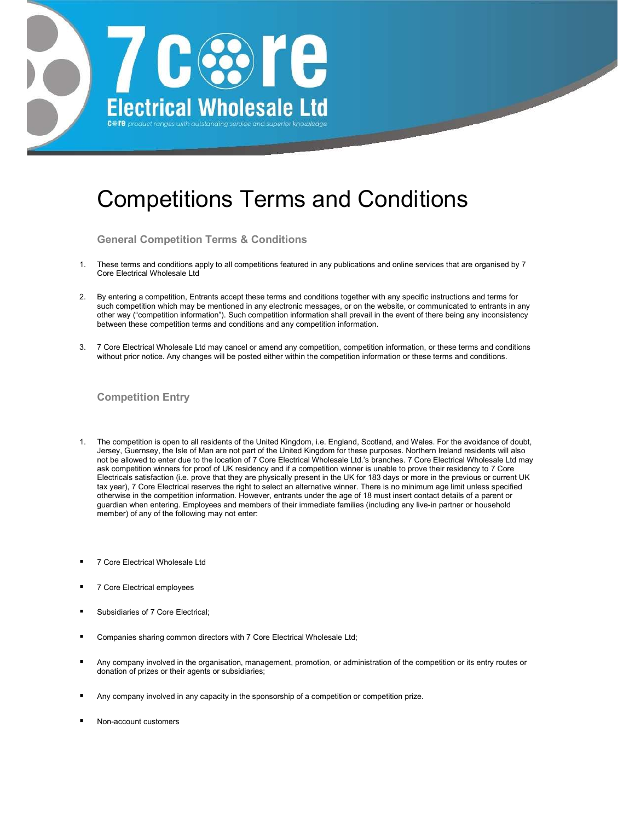

# Competitions Terms and Conditions

General Competition Terms & Conditions

- 1. These terms and conditions apply to all competitions featured in any publications and online services that are organised by 7 Core Electrical Wholesale Ltd
- 2. By entering a competition, Entrants accept these terms and conditions together with any specific instructions and terms for such competition which may be mentioned in any electronic messages, or on the website, or communicated to entrants in any other way ("competition information"). Such competition information shall prevail in the event of there being any inconsistency between these competition terms and conditions and any competition information.
- 3. 7 Core Electrical Wholesale Ltd may cancel or amend any competition, competition information, or these terms and conditions without prior notice. Any changes will be posted either within the competition information or these terms and conditions.

# Competition Entry

- 1. The competition is open to all residents of the United Kingdom, i.e. England, Scotland, and Wales. For the avoidance of doubt, Jersey, Guernsey, the Isle of Man are not part of the United Kingdom for these purposes. Northern Ireland residents will also not be allowed to enter due to the location of 7 Core Electrical Wholesale Ltd.'s branches. 7 Core Electrical Wholesale Ltd may ask competition winners for proof of UK residency and if a competition winner is unable to prove their residency to 7 Core Electricals satisfaction (i.e. prove that they are physically present in the UK for 183 days or more in the previous or current UK tax year), 7 Core Electrical reserves the right to select an alternative winner. There is no minimum age limit unless specified otherwise in the competition information. However, entrants under the age of 18 must insert contact details of a parent or guardian when entering. Employees and members of their immediate families (including any live-in partner or household member) of any of the following may not enter:
- 7 Core Electrical Wholesale Ltd
- 7 Core Electrical employees
- Subsidiaries of 7 Core Electrical;
- Companies sharing common directors with 7 Core Electrical Wholesale Ltd;
- Any company involved in the organisation, management, promotion, or administration of the competition or its entry routes or donation of prizes or their agents or subsidiaries;
- Any company involved in any capacity in the sponsorship of a competition or competition prize.
- Non-account customers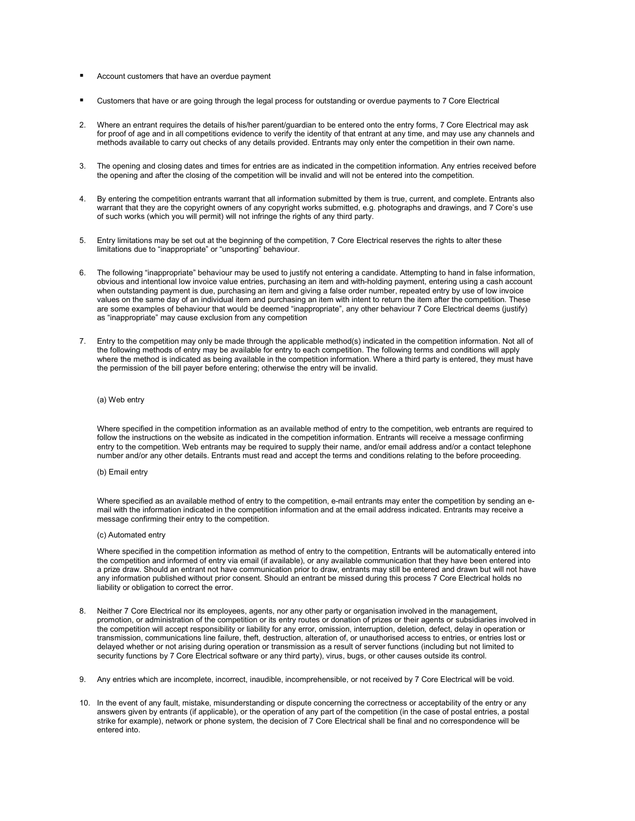- Account customers that have an overdue payment
- Customers that have or are going through the legal process for outstanding or overdue payments to 7 Core Electrical
- 2. Where an entrant requires the details of his/her parent/guardian to be entered onto the entry forms, 7 Core Electrical may ask for proof of age and in all competitions evidence to verify the identity of that entrant at any time, and may use any channels and methods available to carry out checks of any details provided. Entrants may only enter the competition in their own name.
- 3. The opening and closing dates and times for entries are as indicated in the competition information. Any entries received before the opening and after the closing of the competition will be invalid and will not be entered into the competition.
- 4. By entering the competition entrants warrant that all information submitted by them is true, current, and complete. Entrants also warrant that they are the copyright owners of any copyright works submitted, e.g. photographs and drawings, and 7 Core's use of such works (which you will permit) will not infringe the rights of any third party.
- 5. Entry limitations may be set out at the beginning of the competition, 7 Core Electrical reserves the rights to alter these limitations due to "inappropriate" or "unsporting" behaviour.
- 6. The following "inappropriate" behaviour may be used to justify not entering a candidate. Attempting to hand in false information, obvious and intentional low invoice value entries, purchasing an item and with-holding payment, entering using a cash account when outstanding payment is due, purchasing an item and giving a false order number, repeated entry by use of low invoice values on the same day of an individual item and purchasing an item with intent to return the item after the competition. These are some examples of behaviour that would be deemed "inappropriate", any other behaviour 7 Core Electrical deems (justify) as "inappropriate" may cause exclusion from any competition
- 7. Entry to the competition may only be made through the applicable method(s) indicated in the competition information. Not all of the following methods of entry may be available for entry to each competition. The following terms and conditions will apply where the method is indicated as being available in the competition information. Where a third party is entered, they must have the permission of the bill payer before entering; otherwise the entry will be invalid.

#### (a) Web entry

Where specified in the competition information as an available method of entry to the competition, web entrants are required to follow the instructions on the website as indicated in the competition information. Entrants will receive a message confirming entry to the competition. Web entrants may be required to supply their name, and/or email address and/or a contact telephone number and/or any other details. Entrants must read and accept the terms and conditions relating to the before proceeding.

#### (b) Email entry

Where specified as an available method of entry to the competition, e-mail entrants may enter the competition by sending an email with the information indicated in the competition information and at the email address indicated. Entrants may receive a message confirming their entry to the competition.

#### (c) Automated entry

Where specified in the competition information as method of entry to the competition, Entrants will be automatically entered into the competition and informed of entry via email (if available), or any available communication that they have been entered into a prize draw. Should an entrant not have communication prior to draw, entrants may still be entered and drawn but will not have any information published without prior consent. Should an entrant be missed during this process 7 Core Electrical holds no liability or obligation to correct the error.

- Neither 7 Core Electrical nor its employees, agents, nor any other party or organisation involved in the management, promotion, or administration of the competition or its entry routes or donation of prizes or their agents or subsidiaries involved in the competition will accept responsibility or liability for any error, omission, interruption, deletion, defect, delay in operation or transmission, communications line failure, theft, destruction, alteration of, or unauthorised access to entries, or entries lost or delayed whether or not arising during operation or transmission as a result of server functions (including but not limited to security functions by 7 Core Electrical software or any third party), virus, bugs, or other causes outside its control.
- 9. Any entries which are incomplete, incorrect, inaudible, incomprehensible, or not received by 7 Core Electrical will be void.
- 10. In the event of any fault, mistake, misunderstanding or dispute concerning the correctness or acceptability of the entry or any answers given by entrants (if applicable), or the operation of any part of the competition (in the case of postal entries, a postal strike for example), network or phone system, the decision of 7 Core Electrical shall be final and no correspondence will be entered into.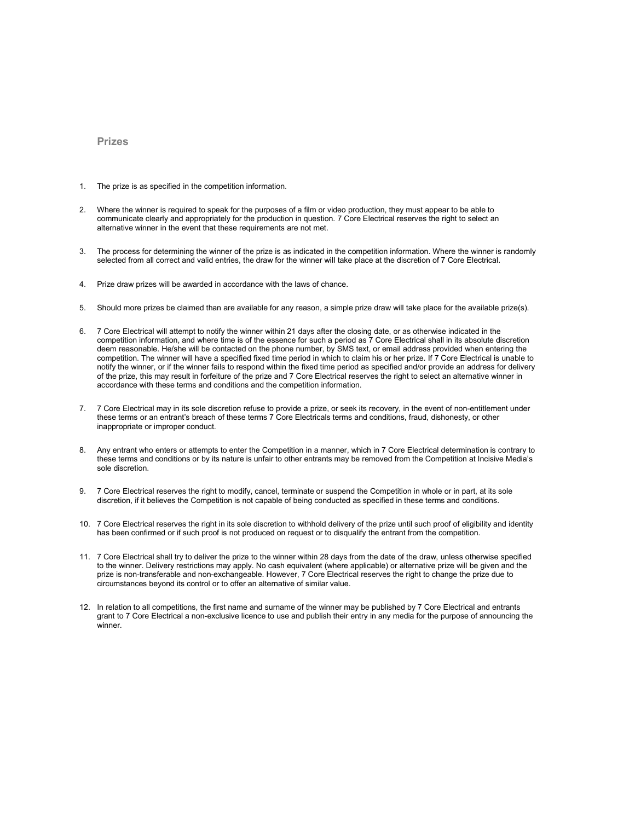### Prizes

- 1. The prize is as specified in the competition information.
- 2. Where the winner is required to speak for the purposes of a film or video production, they must appear to be able to communicate clearly and appropriately for the production in question. 7 Core Electrical reserves the right to select an alternative winner in the event that these requirements are not met.
- 3. The process for determining the winner of the prize is as indicated in the competition information. Where the winner is randomly selected from all correct and valid entries, the draw for the winner will take place at the discretion of 7 Core Electrical.
- 4. Prize draw prizes will be awarded in accordance with the laws of chance.
- 5. Should more prizes be claimed than are available for any reason, a simple prize draw will take place for the available prize(s).
- 6. 7 Core Electrical will attempt to notify the winner within 21 days after the closing date, or as otherwise indicated in the competition information, and where time is of the essence for such a period as 7 Core Electrical shall in its absolute discretion deem reasonable. He/she will be contacted on the phone number, by SMS text, or email address provided when entering the competition. The winner will have a specified fixed time period in which to claim his or her prize. If 7 Core Electrical is unable to notify the winner, or if the winner fails to respond within the fixed time period as specified and/or provide an address for delivery of the prize, this may result in forfeiture of the prize and 7 Core Electrical reserves the right to select an alternative winner in accordance with these terms and conditions and the competition information.
- 7. 7 Core Electrical may in its sole discretion refuse to provide a prize, or seek its recovery, in the event of non-entitlement under these terms or an entrant's breach of these terms 7 Core Electricals terms and conditions, fraud, dishonesty, or other inappropriate or improper conduct.
- 8. Any entrant who enters or attempts to enter the Competition in a manner, which in 7 Core Electrical determination is contrary to these terms and conditions or by its nature is unfair to other entrants may be removed from the Competition at Incisive Media's sole discretion.
- 9. 7 Core Electrical reserves the right to modify, cancel, terminate or suspend the Competition in whole or in part, at its sole discretion, if it believes the Competition is not capable of being conducted as specified in these terms and conditions.
- 10. 7 Core Electrical reserves the right in its sole discretion to withhold delivery of the prize until such proof of eligibility and identity has been confirmed or if such proof is not produced on request or to disqualify the entrant from the competition.
- 11. 7 Core Electrical shall try to deliver the prize to the winner within 28 days from the date of the draw, unless otherwise specified to the winner. Delivery restrictions may apply. No cash equivalent (where applicable) or alternative prize will be given and the prize is non-transferable and non-exchangeable. However, 7 Core Electrical reserves the right to change the prize due to circumstances beyond its control or to offer an alternative of similar value.
- 12. In relation to all competitions, the first name and surname of the winner may be published by 7 Core Electrical and entrants grant to 7 Core Electrical a non-exclusive licence to use and publish their entry in any media for the purpose of announcing the winner.